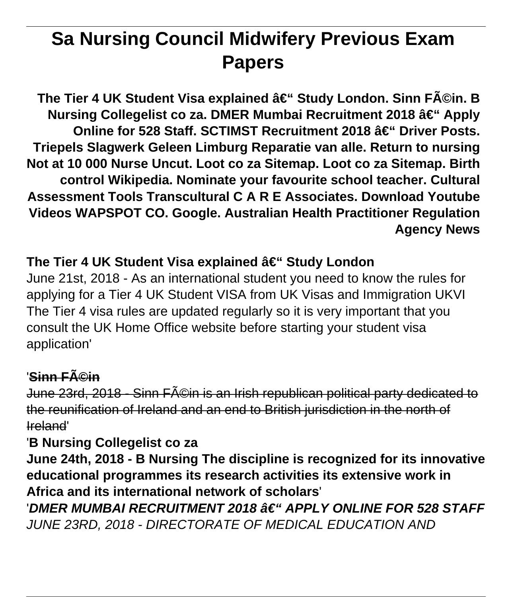# **Sa Nursing Council Midwifery Previous Exam Papers**

The Tier 4 UK Student Visa explained – Study London. Sinn Féin. B **Nursing Collegelist co za. DMER Mumbai Recruitment 2018 – Apply Online for 528 Staff. SCTIMST Recruitment 2018 – Driver Posts. Triepels Slagwerk Geleen Limburg Reparatie van alle. Return to nursing Not at 10 000 Nurse Uncut. Loot co za Sitemap. Loot co za Sitemap. Birth control Wikipedia. Nominate your favourite school teacher. Cultural Assessment Tools Transcultural C A R E Associates. Download Youtube Videos WAPSPOT CO. Google. Australian Health Practitioner Regulation Agency News**

### The Tier 4 UK Student Visa explained – Study London

June 21st, 2018 - As an international student you need to know the rules for applying for a Tier 4 UK Student VISA from UK Visas and Immigration UKVI The Tier 4 visa rules are updated regularly so it is very important that you consult the UK Home Office website before starting your student visa application'

### 'Sinn Féin

June 23rd, 2018 - Sinn F©in is an Irish republican political party dedicated to the reunification of Ireland and an end to British jurisdiction in the north of Ireland'

### '**B Nursing Collegelist co za**

**June 24th, 2018 - B Nursing The discipline is recognized for its innovative educational programmes its research activities its extensive work in Africa and its international network of scholars**'

'DMER MUMBAI RECRUITMENT 2018 †" APPLY ONLINE FOR 528 STAFF JUNE 23RD, 2018 - DIRECTORATE OF MEDICAL EDUCATION AND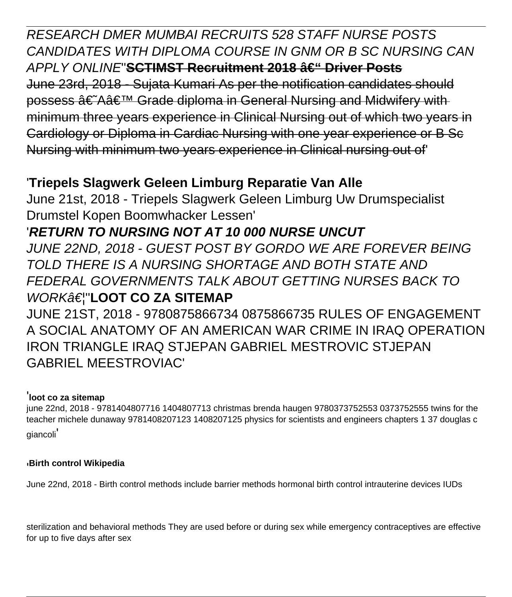RESEARCH DMER MUMBAI RECRUITS 528 STAFF NURSE POSTS CANDIDATES WITH DIPLOMA COURSE IN GNM OR B SC NURSING CAN APPLY ONLINE'SCTIMST Recruitment 2018 a E" Driver Posts June 23rd, 2018 - Sujata Kumari As per the notification candidates should possess †Aâ€<sup>™</sup> Grade diploma in General Nursing and Midwifery with minimum three years experience in Clinical Nursing out of which two years in Cardiology or Diploma in Cardiac Nursing with one year experience or B Sc Nursing with minimum two years experience in Clinical nursing out of'

### '**Triepels Slagwerk Geleen Limburg Reparatie Van Alle**

June 21st, 2018 - Triepels Slagwerk Geleen Limburg Uw Drumspecialist Drumstel Kopen Boomwhacker Lessen'

## '**RETURN TO NURSING NOT AT 10 000 NURSE UNCUT**

JUNE 22ND, 2018 - GUEST POST BY GORDO WE ARE FOREVER BEING TOLD THERE IS A NURSING SHORTAGE AND BOTH STATE AND FEDERAL GOVERNMENTS TALK ABOUT GETTING NURSES BACK TO WORK<del>â€</del> "LOOT CO ZA SITEMAP

JUNE 21ST, 2018 - 9780875866734 0875866735 RULES OF ENGAGEMENT A SOCIAL ANATOMY OF AN AMERICAN WAR CRIME IN IRAQ OPERATION IRON TRIANGLE IRAQ STJEPAN GABRIEL MESTROVIC STJEPAN GABRIEL MEESTROVIAC'

#### '**loot co za sitemap**

june 22nd, 2018 - 9781404807716 1404807713 christmas brenda haugen 9780373752553 0373752555 twins for the teacher michele dunaway 9781408207123 1408207125 physics for scientists and engineers chapters 1 37 douglas c giancoli'

#### '**Birth control Wikipedia**

June 22nd, 2018 - Birth control methods include barrier methods hormonal birth control intrauterine devices IUDs

sterilization and behavioral methods They are used before or during sex while emergency contraceptives are effective for up to five days after sex